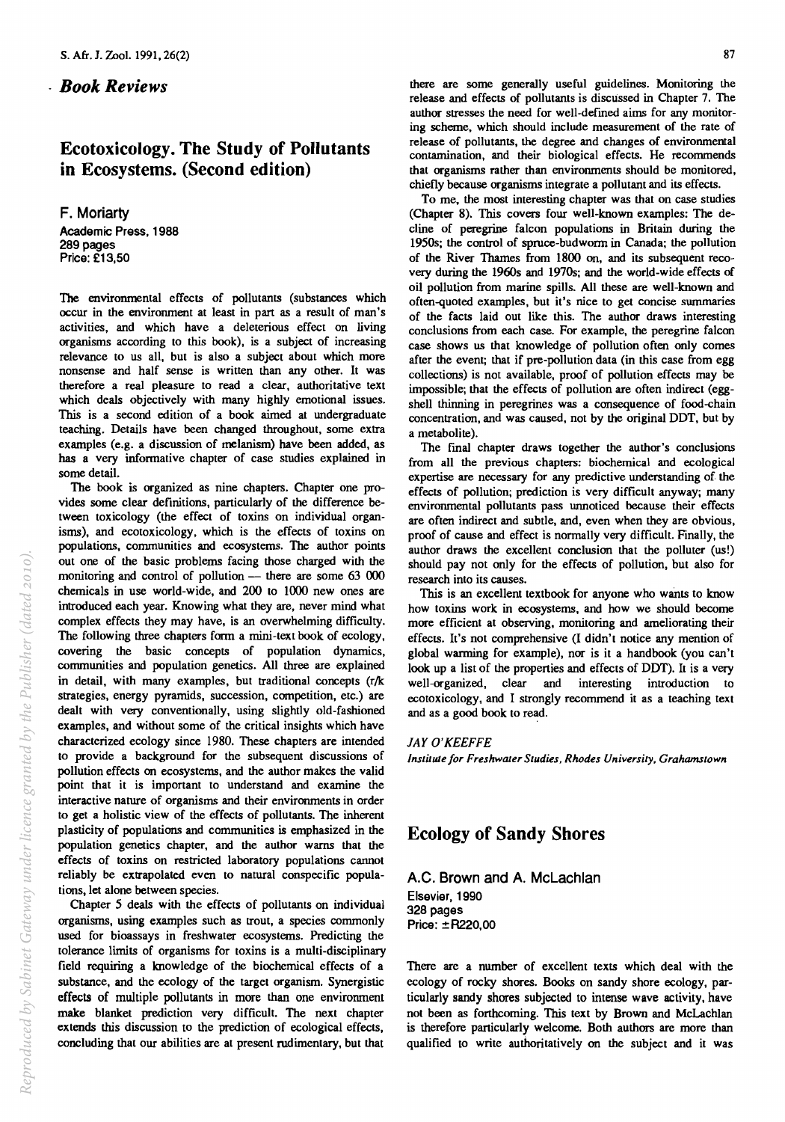### *Book Reviews*

# Ecotoxicology. The Study of Pollutants in Ecosystems. (Second edition)

F. Moriarty Academic Press, 1988 289 pages Price: £13,50

The environmental effects of pollutants (substances which occur in the environment at least in part as a result of man's activities, and which have a deleterious effect on living organisms according to this book), is a subject of increasing relevance to us all, but is also a subject about which more nonsense and half sense is written than any other. It was therefore a real pleasure to read a clear, authoritative text which deals objectively with many highly emotional issues. This is a second edition of a book aimed at undergraduate teaching. Details have been changed throughout, some extra examples (e.g. a discussion of melanism) have been added, as has a very informative chapter of case studies explained in some detail.

The book is organized as nine chapters. Chapter one provides some clear definitions, particularly of the difference between toxicology (the effect of toxins on individual organisms), and ecotoxicology, which is the effects of toxins on populations, communities and ecosystems. The author points out one of the basic problems facing those charged with the monitoring and control of pollution  $-$  there are some 63 000 chemicals in use world-wide, and 200 to 1000 new ones are introduced each year. Knowing what they are, never mind what complex effects they may have, is an overwhelming difficulty. The following three chapters form a mini-text book of ecology, covering the basic concepts of population dynamics, communities and population genetics. All three are explained in detail, with many examples, but traditional concepts (r/k strategies, energy pyramids, succession, competition, etc.) are dealt with very conventionally, using slightly old-fashioned examples, and without some of the critical insights which have characterized ecology since 1980. These chapters are intended to provide a background for the subsequent discussions of pollution effects on ecosystems, and the author makes the valid point that it is important to understand and examine the interactive nature of organisms and their environments in order to get a holistic view of the effects of pollutants. The inherent plasticity of populations and communities is emphasized in the population genetics chapter, and the author warns that the effects of toxins on restricted laboratory populations cannot reliably be extrapolated even to natural conspecific populations, let alone between species.

Chapter 5 deals with the effects of pollutants on individual organisms, using examples such as trout, a species commonly used for bioassays in freshwater ecosystems. Predicting the tolerance limits of organisms for toxins is a multi-disciplinary field requiring a knowledge of the biochemical effects of a substance, and the ecology of the target organism. Synergistic effects of multiple pollutants in more than one environment make blanket prediction very difficult. The next chapter extends this discussion to the prediction of ecological effects, concluding that our abilities are at present rudimentary, but that

there are some generally useful guidelines. Monitoring the release and effects of pollutants is discussed in Chapter 7. The author stresses the need for well-defined aims for any monitoring scheme, which should include measurement of the rate of release of pollutants, the degree and changes of environmental contamination, and their biological effects. He recommends that organisms rather than environments should be monitored, chiefly because organisms integrate a pollutant and its effects.

To me, the most interesting chapter was that on case studies (Chapter 8). This covers four well-known examples: The decline of peregrine falcon populations in Britain during the 1950s; the control of spruce-bud worm in Canada; the pollution of the River Thames from 1800 on, and its subsequent recovery during the 1960s and 1970s; and the world-wide effects of oil pollution from marine spills. All these are well-known and often-quoted examples, but it's nice to get concise summaries of the facts laid out like this. The author draws interesting conclusions from each case. For example, the peregrine falcon case shows us that knowledge of pollution often only comes after the event; that if pre-pollution data (in this case from egg collections) is not available, proof of pollution effects may be impossible; that the effects of pollution are often indirect (eggshell thinning in peregrines was a consequence of food-chain concentration, and was caused, not by the original DDT, but by a metabolite).

The final chapter draws together the author's conclusions from all the previous chapters: biochemical and ecological expertise are necessary for any predictive understanding of the effects of pollution; prediction is very difficult anyway; many environmental pollutants pass wmoticed because their effects are often indirect and subtle, and, even when they are obvious, proof of cause and effect is normally very difficult. Finally, the author draws the excellent conclusion that the polluter (us!) should pay not only for the effects of pollution, but also for research into its causes.

This is an excellent textbook for anyone who wants to know how toxins work in ecosystems, and how we should become more efficient at observing, monitoring and ameliorating their effects. It's not comprehensive (I didn't notice any mention of global warming for example), nor is it a handbook (you can't look up a list of the properties and effects of DDT). It is a very well-organized, clear and interesting introduction to ecotoxicology, and I strongly recommend it as a teaching text and as a good book to read.

*Inslitute for Freshwater Studies, Rhodes University, Grahamstown* 

## Ecology of Sandy Shores

A.C. Brown and A. McLachlan Elsevier, 1990 328 pages Price: ±R220,00

There are a number of excellent texts which deal with the ecology of rocky shores. Books on sandy shore ecology, particularly sandy shores subjected to intense wave activity, have not been as forthcoming. This text by Brown and McLachlan is therefore particularly welcome. Both authors are more than qualified to write authoritatively on the subject and it was

JAY O'KEEFFE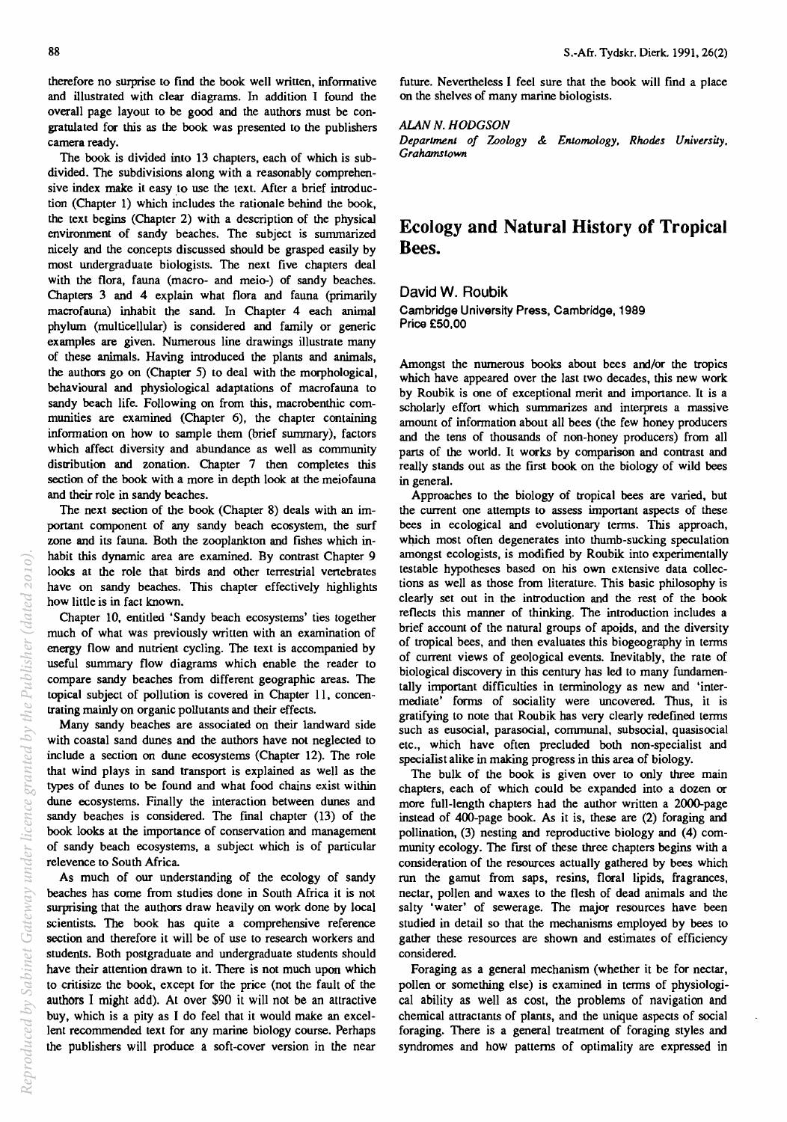therefore no surprise to find the book well written, informative and illustrated with clear diagrams. In addition I found the overall page layout to be good and the authors must be congratulated for this as the book was presented to the publishers camera ready.

The book is divided into 13 chapters, each of which is subdivided. The subdivisions along with a reasonably comprehensive index make it easy to use the text. After a brief introduction (Chapter 1) which includes the rationale behind the book, the text begins (Chapter 2) with a description of the physical environment of sandy beaches. The subject is summarized nicely and the concepts discussed should be grasped easily by most undergraduate biologists. The next five chapters deal with the flora, fauna (macro- and meio-) of sandy beaches. Chapters 3 and 4 explain what flora and fauna (primarily macrofauna) inhabit the sand. In Chapter 4 each animal phylwn (multicellular) is considered and family or generic examples are given. Numerous line drawings illustrate many of these animals. Having introduced the plants and animals, the authors go on (Chapter 5) to deal with the morphological, behavioural and physiological adaptations of macrofauna to sandy beach life. Following on from this, macrobenthic communities are examined (Chapter 6), the chapter containing information on how to sample them (brief summary), factors which affect diversity and abundance as well as community distribution and zonation. Chapter 7 then completes this section of the book with a more in depth look at the meiofauna and their role in sandy beaches.

The next section of the book (Chapter 8) deals with an important component of any sandy beach ecosystem, the surf zone and its fauna. Both the zooplankton and fishes which inhabit this dynamic area are examined. By contrast Chapter 9 looks at the role that birds and other terrestrial vertebrates have on sandy beaches. This chapter effectively highlights how little is in fact known.

Chapter 10, entitled 'Sandy beach ecosystems' ties together much of what was previously written with an examination of energy flow and nutrient cycling. The text is accompanied by useful summary flow diagrams which enable the reader to compare sandy beaches from different geographic areas. The topical subject of pollution is covered in Chapter II, concentrating mainly on organic pollutants and their effects.

Many sandy beaches are associated on their landward side with coastal sand dunes and the authors have not neglected to include a section on dune ecosystems (Chapter 12). The role that wind plays in sand transport is explained as well as the types of dunes to be found and what food chains exist within dune ecosystems. Finally the interaction between dunes and sandy beaches is considered. The final chapter (13) of the book looks at the importance of conservation and management of sandy beach ecosystems, a subject which is of particular relevence to South Africa.

As much of our understanding of the ecology of sandy beaches has come from studies done in South Africa it is not surprising that the authors draw heavily on work done by local scientists. The book has quite a comprehensive reference section and therefore it will be of use to research workers and students. Both postgraduate and undergraduate students should have their attention drawn to it. There is not much upon which to critisize the book, except for the price (not the fault of the authors I might add). At over \$90 it will not be an attractive buy, which is a pity as I do feel that it would make an excellent recommended text for any marine biology course. Perhaps the publishers will produce a soft-cover version in the near future. Nevertheless I feel sure that the book will find a place on the shelves of many marine biologists.

ALAN N. HODGSON

*Department of Zoology* & *Entomology, Rhodes UniversiJy. Grahamstown* 

# **Ecology and Natural History of Tropical Bees.**

**David W. Roubik**  Cambridge University Press, Cambridge, 1989

Price £50,00

Amongst the nwnerous books about bees and/or the tropics which have appeared over the last two decades, this new work by Roubik is one of exceptional merit and importance. It is a scholarly effort which summarizes and interprets a massive amount of infonnation about all bees (the few honey producers and the tens of thousands of non-honey producers) from all parts of the world. It works by comparison and contrast and really stands out as the first book on the biology of wild bees in general.

Approaches to the biology of tropical bees are varied, but the current one attempts to assess important aspects of these bees in ecological and evolutionary terms. This approach, which most often degenerates into thumb-sucking speculation amongst ecologists, is modified by Roubik into experimentally testable hypotheses based on his own extensive data collections as well as those from literature. This basic philosophy is clearly set out in the introduction and the rest of the book reflects this manner of thinking. The introduction includes a brief account of the natural groups of apoids, and the diversity of tropical bees, and then evaluates this biogeography in terms of current views of geological events. Inevitably, the rate of biological discovery in this century has led to many fundamentally important difficulties in terminology as new and 'intermediate' forms of sociality were uncovered. Thus, it is gratifying to note that Roubik has very clearly redefined terms such as eusocial, parasocial, communal, subsocial, quasisocial etc., which have often precluded both non-specialist and specialist alike in making progress in this area of biology.

The bulk of the book is given over to only three main chapters, each of which could be expanded into a dozen or more full-length chapters had the author written a 2000-page instead of 400-page book. As it is, these are (2) foraging and pollination, (3) nesting and reproductive biology and (4) community ecology. The frrst of these three chapters begins with a consideration of the resources actually gathered by bees which run the gamut from saps, resins, floral lipids, fragrances, nectar, polien and waxes to the flesh of dead animals and the salty 'water' of sewerage. The major resources have been studied in detail so that the mechanisms employed by bees to gather these resources are shown and estimates of efficiency considered.

Foraging as a general mechanism (whether it be for nectar, pollen or something else) is examined in terms of physiological ability as well as cost, the problems of navigation and chemical attractants of plants, and the unique aspects of social foraging. There is a general treatment of foraging styles and syndromes and how patterns of optimality are expressed in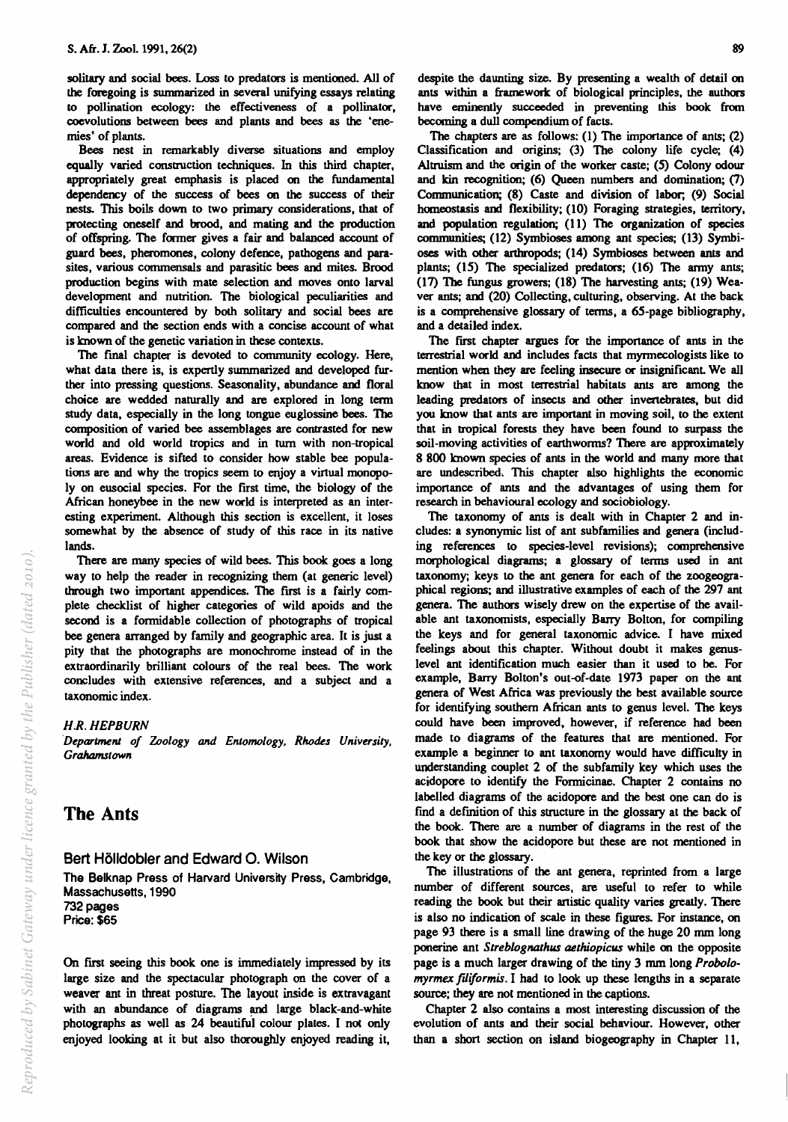solitary and social bees. Loss to predators is mentioned. All of the foregoing is summarized in several unifying essays relating to pollination ecology: the effectiveness of a pollinator, coevolutions between bees and plants and bees as the 'enemies' of plants.

Bees nest in remarkably diverse situations and employ equally varied construction techniques. In this third chapter, appropriately great emphasis is placed on the fundamental dependency of the success of bees on the success of their nests. This boils down to two primary considerations, that of protecting oneself and brood, and mating and the production of offspring. The former gives a fair and balanced account of guard bees, pheromones, colony defence, pathogens and parasites, various commensals and parasitic bees and mites. Brood production begins with mate selection and moves onto larval development and nutrition. The biological peculiarities and difficulties encountered by both solitary and social bees are compared and the section ends with a concise account of what is known of the genetic variation in these contexts.

The final chapter is devoted to community ecology. Here, what data there is, is expertly summarized and developed further into pressing questions. Seasonality, abundance and floral choice are wedded naturally and are explored in long term study data, especially in the long tongue euglossine bees. The composition of varied bee assemblages are comrasted for new world and old world tropics and in turn with non-tropical areas. Evidence is sifted to consider how stable bee populations are and why the tropics seem to enjoy a virtual monopoly on eusocial species. For the first time, the biology of the African honeybee in the new world is interpreted as an interesting experiment. Although this section is excellent, it loses somewhat by the absence of study of this race in its native lands.

There are many species of wild bees. This book goes a long way to help the reader in recognizing them (at generic level) through two important appendices. The first is a fairly complete checklist of higher categories of wild apoids and the second is a formidable collection of photographs of tropical bee genera arranged by family and geographic area. It is just a pity that the photographs are monochrome instead of in the extraordinarily brilliant colours of the real bees. The work concludes with extensive references, and a subject and a taxonomic index.

#### *H.R. HEPBURN*

Department of Zoology and Entomology, Rhodes University, *GraMmslown* 

### The Ants

#### Bert Holldobler and Edward O. Wilson

The Belknap Press of Harvard University Press, Cambridge, Massachusetts,1990 732 pages

Price: \$65

On first seeing this book one is immediately impressed by its large size and the spectacular photograph on the cover of a weaver ant in threat posture. The layout inside is extravagant with an abundance of diagrams and large black-and-white photographs as well as 24 beautiful colour plates. I not only enjoyed looking at it but also thoroughly enjoyed reading it,

despite the daunting size. By presenting a wealth of detail on ants within a framework of biological principles, the authors have eminently succeeded in preventing this book from becoming a dull compendium of facts.

The chapters are as follows:  $(1)$  The importance of ants;  $(2)$ Classification and origins; (3) The colony life cycle; (4) Altruism and the origin of the worker caste; (5) Colony odour and kin recognition; (6) Queen numbers and domination; *(I)*  Communication; (8) Caste and division of labor; (9) Social homeostasis and flexibility; (10) Foraging strategies, territory, and population regulation; (11) The organization of species communities; (12) Symbioses among ant species; (13) Symbioses with other arthropods; (14) Symbioses between ants and plants; (15) The specialized predators; (16) The army ants; (17) 1be fungus growers; (18) The harvesting ants; (19) Weaver ants; and (20) Collecting, culturing, observing. At the back is a comprehensive glossary of terms, a 65-page bibliography, and a detailed index.

The first chapter argues for the importance of ants in the terrestrial world and includes facts that mynnecologists like to mention when they are feeling insecure or insignificant. We all know that in most terrestrial habitats ants are among the leading predators of insects and other invertebrates, but did you know that ants are important in moving soil, to the extent that in tropical forests they have been found to surpass the soil-moving activities of earthworms? There are approximately 8 800 known species of ants in the world and many more that are undescribed. This chapter also highlights the economic importance of ants and the advantages of using them for research in behavioural ecology and sociobiology.

The taxonomy of ants is dealt with in Chapter 2 and includes: a synonymic list of ant subfamilies and genera (including references to species-level revisions); comprehensive morphological diagrams; a glossary of terms used in ant taxonomy; keys to the ant genera for each of the zoogeographical regions; and illustrative examples of each of the 297 ant genera. The authors wisely drew on the expertise of the available ant taxonomists, especially Barry Bolton, for compiling the keys and for general taxonomic advice. I have mixed feelings about this chapter. Without doubt it makes genuslevel ant identification much easier than it used to be. For example, Barry Bolton's out-of-date 1973 paper on the ant genera of West Africa was previously the best available source for identifying southern African ants to genus level. The keys could have been improved, however, if reference had been made to diagrams of the features that are mentioned. For example a beginner to ant taxonomy would have difficulty in understanding couplet 2 of the subfamily key which uses the acidopore to identify the Formicinae. Chapter 2 contains no labelled diagrams of the acidopore and the best one can do is find a definition of this structure in the glossary at the back of the book. There are a number of diagrams in the rest of the book that show the acidopore but these are not mentioned in the key or the glossary.

The illustrations of the ant genera, reprinted from a large number of different sources, are useful to refer to while reading the book but their artistic quality varies greatly. There is also no indication of scale in these figures. For instance, on page 93 there is a small line drawing of the huge 20 mm long ponerine ant *Streblognathus aethiopicus* while on the opposite page is a much larger drawing of the tiny 3 mm long *Probolomyrmex fili/ormis.* I had to look up these lengths in a separate source; they are not mentioned in the captions.

Chapter 2 also contains a most interesting discussion of the evolution of ants and their social behaviour. However, other than a short section on island biogeography in Chapter II,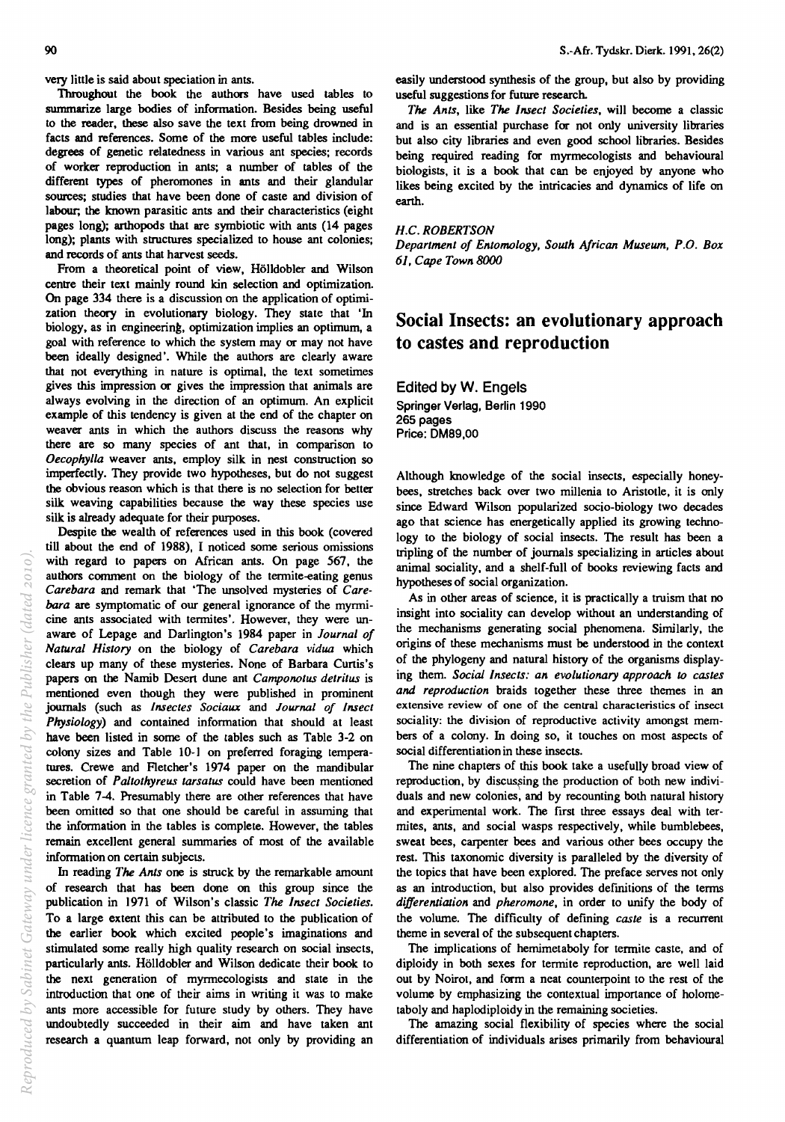very little is said about speciation in ants.

Throughout the book the authors have used tables to summarize large bodies of information. Besides being useful to the reader, these also save the text from being drowned in facts and references. Some of the more useful tables include: degrees of genetic relatedness in various ant species; records of worker reproduction in ants; a number of tables of the different types of pheromones in ants and their glandular somces; studies that have been done of caste and division of labour; the known parasitic ants and their characteristics (eight pages long); arthopods that are symbiotic with ants (14 pages long); plants with structures specialized to house ant colonies; and records of ants that harvest seeds.

From a theoretical point of view, Hölldobler and Wilson centre their text mainly round kin selection and optimization. On page 334 there is a discussion on the application of optimization theory in evolutionary biology. They state that 'In biology, as in engineering, optimization implies an optimum, a goal with reference to which the system may or may not have been ideally designed'. While the authors are clearly aware that not everything in nature is optimal, the text sometimes gives this impression or gives the impression that animals are always evolving in the direction of an optimum. An explicit example of this tendency is given at the end of the chapter on weaver ants in which the authors discuss the reasons why there are so many species of ant that, in comparison to *Oecophylla* weaver ants, employ silk in nest construction so imperfectly. They provide two hypotheses, but do not suggest the obvious reason which is that there is no selection for better silk weaving capabilities because the way these species use silk is already adequate for their purposes.

Despite the wealth of references used in this book (covered till about the end of 1988), I noticed some serious omissions with regard to papers on African ants. On page 567, the authors conunent on the biology of the termite-eating genus *Carebara* and remark that 'The unsolved mysteries of *Carebara* are symptomatic of our general ignorance of the myrmicine ants associated with termites'. However, they were unaware of Lepage and Darlington's 1984 paper in *Journal of Natural History* on the biology of *Carebara vidua* which clears up many of these mysteries. None of Barbara Curtis's papers on the Namib Desert dune ant *Campo notus detritus* is mentioned even though they were published in prominent journals (such as *Insectes Sociaux* and *Journal of Insect Physiology)* and contained information that should at least have been listed in some of the tables such as Table 3-2 on colony sizes and Table 10-1 on preferred foraging temperatures. Crewe and Fletcher's 1974 paper on the mandibular secretion of *Paltothyreus tarsatus* could have been mentioned in Table 7-4. Presumably there are other references that have been omitted so that one should be careful in assuming that the information in the tables is complete. However, the tables remain excellent general summaries of most of the available information on certain subjects.

In reading *The Ants* one is struck by the remarkable amount of research that has been done on this group since the publication in 1971 of Wilson's classic *The Insect Societies.*  To a large extent this can be attributed to the publication of the earlier book which excited people's imaginations and stimulated some really high quality research on social insects, particularly ants. Holldobler and Wilson dedicate their book to the next generation of myrmecologists and state in the introduction that one of their aims in writing it was to make ants more accessible for future study by others. They have undoubtedly succeeded in their aim and have taken ant research a quantum leap forward, not only by providing an

easily understood synthesis of the group, but also by providing useful suggestions for future research.

*The Ants,* like *The Insect Societies,* will become a classic and is an essential purchase for not only university libraries but also city libraries and even good school libraries. Besides being required reading for myrmecologists and behavioural biologists, it is a book that can be enjoyed by anyone who likes being excited by the intricacies and dynamics of life on earth.

*H.C. ROBERTSON* 

*Department of Entomology, South African Museum, P.O. Box 61, Cape Town 8000* 

# Social Insects: an evolutionary approach to castes and reproduction

Edited by W. Engels Springer Verlag, Berlin 1990 265 pages Price: DM89,OO

Although knowledge of the social insects, especially honeybees, stretches back over two millenia to Aristotle, it is only since Edward Wilson popularized socio-biology two decades ago that science has energetically applied its growing technology to the biology of social insects. The result has been a tripling of the number of journals specializing in articles about animal sociality, and a shelf-full of books reviewing facts and hypotheses of social organization.

As in other areas of science, it is practically a truism that no insight into sociality can develop without an understanding of the mechanisms generating social phenomena. Similarly, the origins of these mechanisms must be understood in the context of the phylogeny and natural history of the organisms displaying them. *Social Insects: an evolutionary approach to castes and reproduction* braids together these three themes in an extensive review of one of the central characteristics of insect sociality: the division of reproductive activity amongst members of a colony. In doing so, it touches on most aspects of social differentiation in these insects.

The nine chapters of this book take a usefully broad view of reproduction, by discussing the production of both new individuals and new colonies, and by recounting both natural history and experimental work. The first three essays deal with termites, ants, and social wasps respectively, while bumblebees, sweat bees, carpenter bees and various other bees occupy the rest. This taxonomic diversity is paralleled by the diversity of the topics that have been explored. The preface serves not only as an introduction, but also provides deftnitions of the terms *differentiation* and *pheromone,* in order to unify the body of the volume. The difficulty of defining *caste* is a recurrent theme in several of the subsequent chapters.

The implications of hemimetaboly for termite caste, and of diploidy in both sexes for termite reproduction, are well laid out by Noirot, and form a neat counterpoint to the rest of the volume by emphasizing the contextual importance of holometaboly and haplodiploidy in the remaining societies.

The amazing social flexibility of species where the social differentiation of individuals arises primarily from behavioural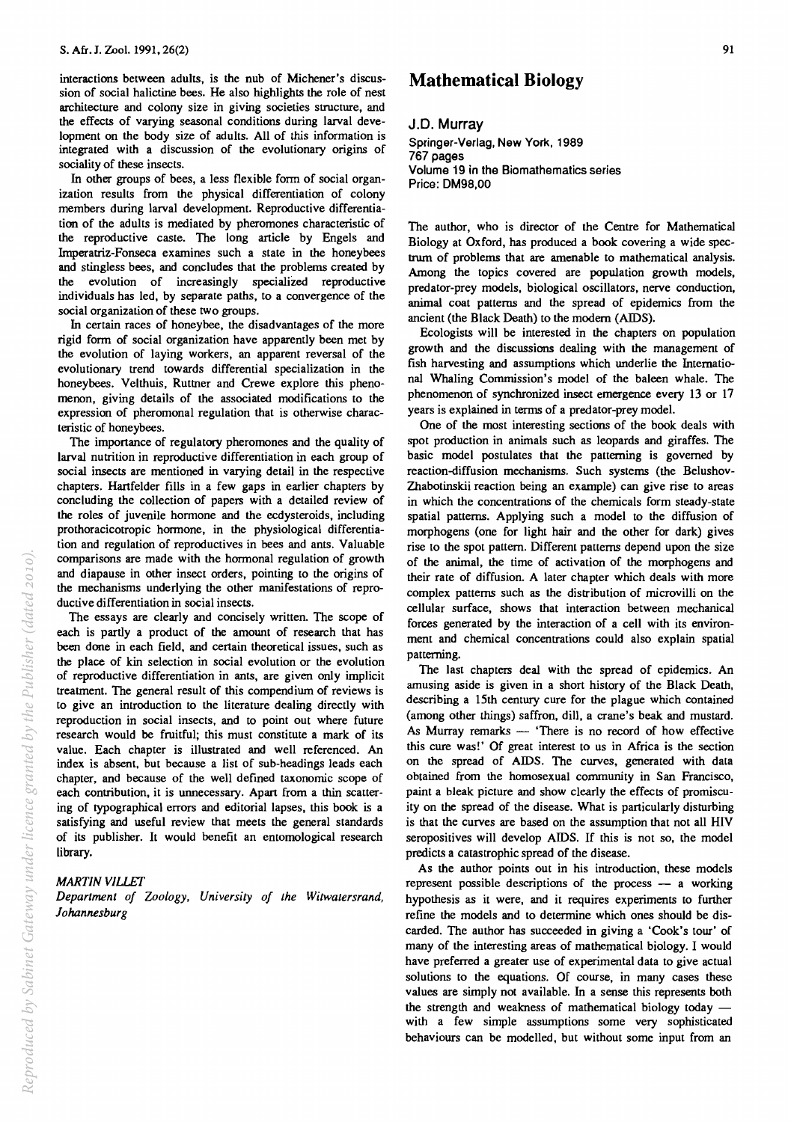interactions between adults, is the nub of Michener's discussion of social halictine bees. He also highlights the role of nest architecture and colony size in giving societies structure, and the effects of varying seasonal conditions during larval development on the body size of adults. All of this information is integrated with a discussion of the evolutionary origins of sociality of these insects.

In other groups of bees, a less flexible form of social organization results from the physical differentiation of colony members during larval development. Reproductive differentiation of the adults is mediated by pheromones characteristic of the reproductive caste. The long article by Engels and Imperatriz-Fonseca examines such a state in the honeybees and stingless bees, and concludes that the problems created by the evolution of increasingly specialized reproductive individuals has led, by separate paths, to a convergence of the social organization of these two groups.

In certain races of honeybee, the disadvantages of the more rigid form of social organization have apparently been met by the evolution of laying workers, an apparent reversal of the evolutionary trend towards differential specialization in the honeybees. Velthuis, Ruttner and Crewe explore this phenomenon, giving details of the associated modifications to the expression of pheromonal regulation that is otherwise characteristic of honeybees.

The importance of regulatory pheromones and the quality of larval nutrition in reproductive differentiation in each group of social insects are mentioned in varying detail in the respective chapters. Hartfelder fills in a few gaps in earlier chapters by concluding the collection of papers with a detailed review of the roles of juvenile hormone and the ecdysteroids, including prothoracicotropic hormone, in the physiological differentiation and regulation of reproductives in bees and ants. Valuable comparisons are made with the hormonal regulation of growth and diapause in other insect orders, pointing to the origins of the mechanisms underlying the other manifestations of reproductive differentiation in social insects.

The essays are clearly and concisely written. The scope of each is partly a product of the amount of research that has been done in each field, and certain theoretical issues, such as the place of kin selection in social evolution or the evolution of reproductive differentiation in ants, are given only implicit treatment. The general result of this compendium of reviews is to give an introduction to the literature dealing directly with reproduction in social insects, and to point out where future research would be fruitful; this must constitute a mark of its value. Each chapter is illustrated and well referenced. An index is absent, but because a list of sub-headings leads each chapter, and because of the well defined taxonomic scope of each contribution, it is unnecessary. Apart from a thin scattering of typographical errors and editorial lapses, this book is a satisfying and useful review that meets the general standards of its publisher. It would benefit an entomological research library.

#### **MARTIN VILLET**

*Deparlmenl of Zoology, University of Ihe Witwalersrand, Johannesburg* 

# **Mathematical Biology**

#### J.D. Murray

Springer-Verlag, New York, 1989 767 pages Volume 19 in the Biomathematics series Price: DM98,OO

The author, who is director of the Centre for Mathematical Biology at Oxford, has produced a book covering a wide spectrum of problems that are amenable to mathematical analysis. Among the topics covered are population growth models, predator-prey models, biological oscillators, nerve conduction, animal coat patterns and the spread of epidemics from the ancient (the Black Death) to the modern (AIDS).

Ecologists will be interested in the chapters on population growth and the discussions dealing with the management of fish harvesting and assumptions which underlie the International Whaling Commission's model of the baleen whale. The phenomenon of synchronized insect emergence every 13 or 17 years is explained in terms of a predator-prey model.

One of the most interesting sections of the book deals with spot production in animals such as leopards and giraffes. The basic model postulates that the patterning is governed by reaction-diffusion mechanisms. Such systems (the Belushov-Zhabotinskii reaction being an example) can give rise to areas in which the concentrations of the chemicals form steady-state spatial patterns. Applying such a model to the diffusion of morphogens (one for light hair and the other for dark) gives rise to the spot pattern. Different patterns depend upon the size of the animal, the time of activation of the morphogens and their rate of diffusion. A later chapter which deals with more complex patterns such as the distribution of microvilli on the cellular surface, shows that interaction between mechanical forces generated by the interaction of a cell with its environment and chemical concentrations could also explain spatial patterning.

The last chapters deal with the spread of epidemics. An amusing aside is given in a short history of the Black Death, describing a 15th century cure for the plague which contained (among other things) saffron, dill, a crane's beak and mustard. As Murray remarks - 'There is no record of how effective this cure was!' Of great interest to us in Africa is the section on the spread of AIDS. The curves, generated with data obtained from the homosexual community in San Francisco, paint a bleak picture and show clearly the effects of promiscuity on the spread of the disease. What is particularly disturbing is that the curves are based on the assumption that not all HIV seropositives will develop AIDS. If this is not so, the model predicts a catastrophic spread of the disease.

As the author points out in his introduction, these models represent possible descriptions of the process  $-$  a working hypothesis as it were, and it requires experiments to further refine the models and to determine which ones should be discarded. The author has succeeded in giving a 'Cook's tour' of many of the interesting areas of mathematical biology. I would have preferred a greater use of experimental data to give actual solutions to the equations. Of course, in many cases these values are simply not available. In a sense this represents both the strength and weakness of mathematical biology today with a few simple assumptions some very sophisticated behaviours can be modelled, but without some input from an